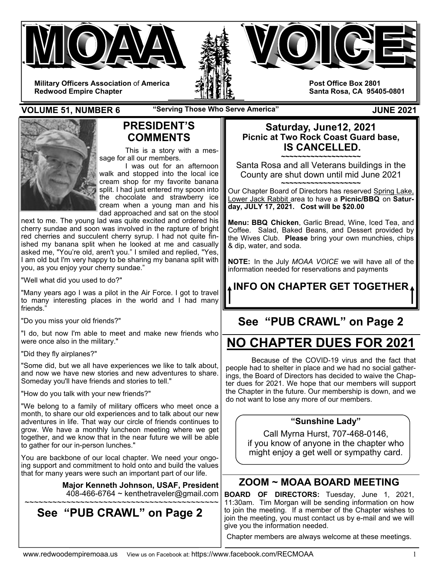



**Military Officers Association** of **America Redwood Empire Chapter** 

**Post Office Box 2801 Santa Rosa, CA 95405-0801** 

**VOLUME 51, NUMBER 6** The "Serving Those Who Serve America" The Summer Serve 2021



### **PRESIDENT'S COMMENTS**

 This is a story with a message for all our members.

 I was out for an afternoon walk and stopped into the local ice cream shop for my favorite banana split. I had just entered my spoon into the chocolate and strawberry ice cream when a young man and his dad approached and sat on the stool

next to me. The young lad was quite excited and ordered his cherry sundae and soon was involved in the rapture of bright red cherries and succulent cherry syrup. I had not quite finished my banana split when he looked at me and casually asked me, "You're old, aren't you." I smiled and replied, "Yes, I am old but I'm very happy to be sharing my banana split with you, as you enjoy your cherry sundae."

"Well what did you used to do?"

"Many years ago I was a pilot in the Air Force. I got to travel to many interesting places in the world and I had many friends."

"Do you miss your old friends?"

"I do, but now I'm able to meet and make new friends who were once also in the military."

"Did they fly airplanes?"

"Some did, but we all have experiences we like to talk about, and now we have new stories and new adventures to share. Someday you'll have friends and stories to tell."

"How do you talk with your new friends?"

"We belong to a family of military officers who meet once a month, to share our old experiences and to talk about our new adventures in life. That way our circle of friends continues to grow. We have a monthly luncheon meeting where we get together, and we know that in the near future we will be able to gather for our in-person lunches."

You are backbone of our local chapter. We need your ongoing support and commitment to hold onto and build the values that for many years were such an important part of our life.

**Major Kenneth Johnson, USAF, President**   $408-466-6764 \sim$  kenthetraveler@gmail.com ~~~~~~~~~~~~~~~~~~~~~~~~~~~~~~~~~~~~~~~~~~

## **See "PUB CRAWL" on Page 2**

#### **Saturday, June12, 2021 Picnic at Two Rock Coast Guard base, IS CANCELLED.**

**~~~~~~~~~~~~~~~~~~~**  Santa Rosa and all Veterans buildings in the County are shut down until mid June 2021 **~~~~~~~~~~~~~~~~~~~** 

Our Chapter Board of Directors has reserved Spring Lake, Lower Jack Rabbit area to have a **Picnic/BBQ** on **Saturday, JULY 17, 2021. Cost will be \$20.00** 

**Menu: BBQ Chicken**, Garlic Bread, Wine, Iced Tea, and Coffee. Salad, Baked Beans, and Dessert provided by the Wives Club. **Please** bring your own munchies, chips & dip, water, and soda.

**NOTE:** In the July *MOAA VOICE* we will have all of the information needed for reservations and payments

# **INFO ON CHAPTER GET TOGETHER**

# **See "PUB CRAWL" on Page 2**

# **NO CHAPTER DUES FOR 2021**

Because of the COVID-19 virus and the fact that people had to shelter in place and we had no social gatherings, the Board of Directors has decided to waive the Chapter dues for 2021. We hope that our members will support the Chapter in the future. Our membership is down, and we do not want to lose any more of our members.

#### **"Sunshine Lady"**

Call Myrna Hurst, 707-468-0146, if you know of anyone in the chapter who might enjoy a get well or sympathy card.

### **ZOOM ~ MOAA BOARD MEETING**

**BOARD OF DIRECTORS:** Tuesday, June 1, 2021, 11:30am. Tim Morgan will be sending information on how to join the meeting. If a member of the Chapter wishes to join the meeting, you must contact us by e-mail and we will give you the information needed.

Chapter members are always welcome at these meetings.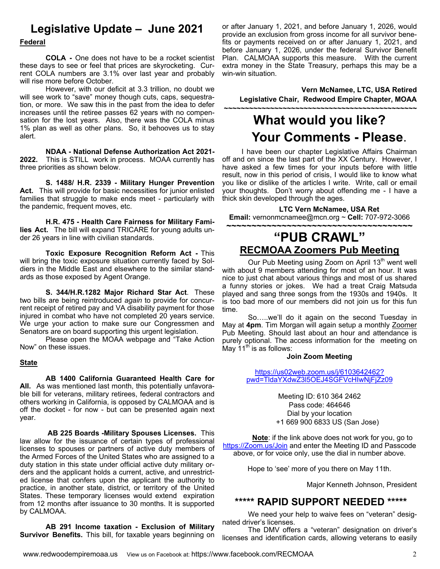### **Legislative Update – June 2021**

#### **Federal**

 **COLA -** One does not have to be a rocket scientist these days to see or feel that prices are skyrocketing. Current COLA numbers are 3.1% over last year and probably will rise more before October.

 However, with our deficit at 3.3 trillion, no doubt we will see work to "save" money though cuts, caps, sequestration, or more. We saw this in the past from the idea to defer increases until the retiree passes 62 years with no compensation for the lost years. Also, there was the COLA minus 1% plan as well as other plans. So, it behooves us to stay alert.

 **NDAA - National Defense Authorization Act 2021- 2022.** This is STILL work in process. MOAA currently has three priorities as shown below.

**S. 1488/ H.R. 2339 - Military Hunger Prevention Act.** This will provide for basic necessities for junior enlisted families that struggle to make ends meet - particularly with the pandemic, frequent moves, etc.

 **H.R. 475 - Health Care Fairness for Military Families Act.** The bill will expand TRICARE for young adults under 26 years in line with civilian standards.

**Toxic Exposure Recognition Reform Act -** This will bring the toxic exposure situation currently faced by Soldiers in the Middle East and elsewhere to the similar standards as those exposed by Agent Orange.

**S. 344/H.R.1282 Major Richard Star Act**. These two bills are being reintroduced *again* to provide for concurrent receipt of retired pay and VA disability payment for those injured in combat who have not completed 20 years service. We urge your action to make sure our Congressmen and Senators are on board supporting this urgent legislation.

 Please open the MOAA webpage and "Take Action Now" on these issues.

#### **State**

**AB 1400 California Guaranteed Health Care for All.** As was mentioned last month, this potentially unfavorable bill for veterans, military retirees, federal contractors and others working in California, is opposed by CALMOAA and is off the docket - for now - but can be presented again next year.

 **AB 225 Boards -Military Spouses Licenses.** This law allow for the issuance of certain types of professional licenses to spouses or partners of active duty members of the Armed Forces of the United States who are assigned to a duty station in this state under official active duty military orders and the applicant holds a current, active, and unrestricted license that confers upon the applicant the authority to practice, in another state, district, or territory of the United States. These temporary licenses would extend expiration from 12 months after issuance to 30 months. It is supported by CALMOAA.

**AB 291 Income taxation - Exclusion of Military Survivor Benefits.** This bill, for taxable years beginning on or after January 1, 2021, and before January 1, 2026, would provide an exclusion from gross income for all survivor benefits or payments received on or after January 1, 2021, and before January 1, 2026, under the federal Survivor Benefit Plan. CALMOAA supports this measure. With the current extra money in the State Treasury, perhaps this may be a win-win situation.

**Vern McNamee, LTC, USA Retired Legislative Chair, Redwood Empire Chapter, MOAA** 

# **~~~~~~~~~~~~~~~~~~~~~~~~~~~~~~~~~~~~~~~~~~~~~~ What would you like? Your Comments - Please.**<br>I have been our chapter Legislative Affairs Chairman

off and on since the last part of the XX Century. However, I have asked a few times for your inputs before with little result, now in this period of crisis, I would like to know what you like or dislike of the articles I write. Write, call or email your thoughts. Don't worry about offending me - I have a thick skin developed through the ages.

**LTC Vern McNamee, USA Ret Email:** vernonmcnamee@mcn.org ~ **Cell:** 707-972-3066

### **~~~~~~~~~~~~~~~~~~~~~~~~~~~~~~~~~~~~~ "PUB CRAWL" RECMOAA Zoomers Pub Meeting**

Our Pub Meeting using Zoom on April 13<sup>th</sup> went well with about 9 members attending for most of an hour. It was nice to just chat about various things and most of us shared a funny stories or jokes. We had a treat Craig Matsuda played and sang three songs from the 1930s and 1940s. It is too bad more of our members did not join us for this fun time.

 So…..we'll do it again on the second Tuesday in May at **4pm**. Tim Morgan will again setup a monthly Zoomer Pub Meeting. Should last about an hour and attendance is purely optional. The access information for the meeting on May 11<sup>th</sup> is as follows:

#### **Join Zoom Meeting**

https://us02web.zoom.us/j/6103642462? pwd=TldaYXdwZ3l5OEJ4SGFVcHIwNjFjZz09

> Meeting ID: 610 364 2462 Pass code: 464646 Dial by your location +1 669 900 6833 US (San Jose)

**Note**: if the link above does not work for you, go to https://Zoom.us/Join and enter the Meeting ID and Passcode above, or for voice only, use the dial in number above.

Hope to 'see' more of you there on May 11th.

Major Kenneth Johnson, President

#### **\*\*\*\*\* RAPID SUPPORT NEEDED \*\*\*\*\***

 We need your help to waive fees on "veteran" designated driver's licenses.

 The DMV offers a "veteran" designation on driver's licenses and identification cards, allowing veterans to easily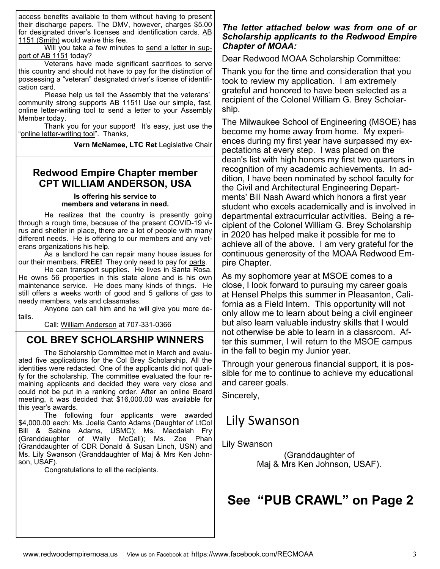access benefits available to them without having to present their discharge papers. The DMV, however, charges \$5.00 for designated driver's licenses and identification cards. AB 1151 (Smith) would waive this fee.

 Will you take a few minutes to send a letter in support of AB 1151 today?

 Veterans have made significant sacrifices to serve this country and should not have to pay for the distinction of possessing a "veteran" designated driver's license of identification card.

 Please help us tell the Assembly that the veterans' community strong supports AB 1151! Use our simple, fast, online letter-writing tool to send a letter to your Assembly Member today.

 Thank you for your support! It's easy, just use the "online letter-writing tool". Thanks,

**Vern McNamee, LTC Ret** Legislative Chair

### **Redwood Empire Chapter member CPT WILLIAM ANDERSON, USA**

#### **Is offering his service to members and veterans in need.**

 He realizes that the country is presently going through a rough time, because of the present COVID-19 virus and shelter in place, there are a lot of people with many different needs. He is offering to our members and any veterans organizations his help.

 As a landlord he can repair many house issues for our their members. **FREE!** They only need to pay for parts.

 He can transport supplies. He lives in Santa Rosa. He owns 56 properties in this state alone and is his own maintenance service. He does many kinds of things. He still offers a weeks worth of good and 5 gallons of gas to needy members, vets and classmates.

 Anyone can call him and he will give you more details.

Call: William Anderson at 707-331-0366

### **COL BREY SCHOLARSHIP WINNERS**

The Scholarship Committee met in March and evaluated five applications for the Col Brey Scholarship. All the identities were redacted. One of the applicants did not qualify for the scholarship. The committee evaluated the four remaining applicants and decided they were very close and could not be put in a ranking order. After an online Board meeting, it was decided that \$16,000.00 was available for this year's awards.

 The following four applicants were awarded \$4,000.00 each: Ms. Joella Canto Adams (Daughter of LtCol Bill & Sabine Adams, USMC); Ms. Macdalah Fry (Granddaughter of Wally McCall); Ms. Zoe Phan (Granddaughter of CDR Donald & Susan Linch, USN) and Ms. Lily Swanson (Granddaughter of Maj & Mrs Ken Johnson, USAF).

Congratulations to all the recipients.

#### *The letter attached below was from one of or Scholarship applicants to the Redwood Empire Chapter of MOAA:*

Dear Redwood MOAA Scholarship Committee:

Thank you for the time and consideration that you took to review my application. I am extremely grateful and honored to have been selected as a recipient of the Colonel William G. Brey Scholarship.

The Milwaukee School of Engineering (MSOE) has become my home away from home. My experiences during my first year have surpassed my expectations at every step. I was placed on the dean's list with high honors my first two quarters in recognition of my academic achievements. In addition, I have been nominated by school faculty for the Civil and Architectural Engineering Departments' Bill Nash Award which honors a first year student who excels academically and is involved in departmental extracurricular activities. Being a recipient of the Colonel William G. Brey Scholarship in 2020 has helped make it possible for me to achieve all of the above. I am very grateful for the continuous generosity of the MOAA Redwood Empire Chapter.

As my sophomore year at MSOE comes to a close, I look forward to pursuing my career goals at Hensel Phelps this summer in Pleasanton, California as a Field Intern. This opportunity will not only allow me to learn about being a civil engineer but also learn valuable industry skills that I would not otherwise be able to learn in a classroom. After this summer, I will return to the MSOE campus in the fall to begin my Junior year.

Through your generous financial support, it is possible for me to continue to achieve my educational and career goals.

Sincerely,

# Lily Swanson

Lily Swanson

(Granddaughter of Maj & Mrs Ken Johnson, USAF).

# **See "PUB CRAWL" on Page 2**